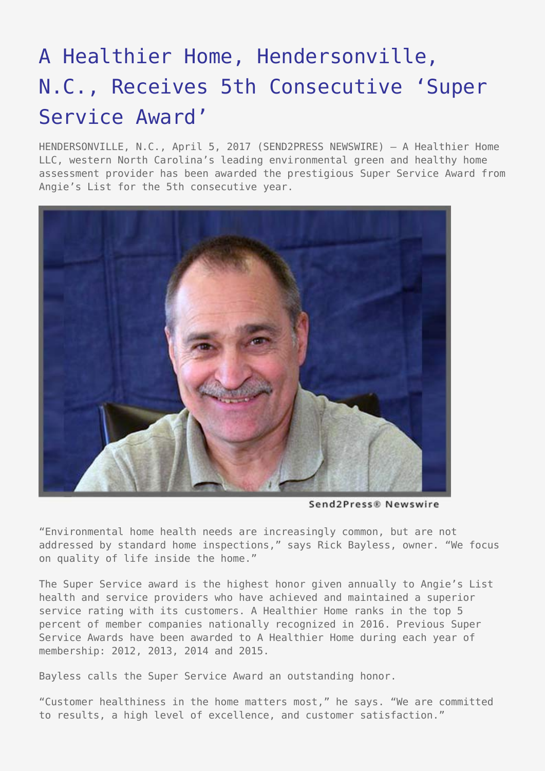## [A Healthier Home, Hendersonville,](https://www.send2press.com/wire/a-healthier-home-hendersonville-n-c-receives-5th-consecutive-super-service-award/) [N.C., Receives 5th Consecutive 'Super](https://www.send2press.com/wire/a-healthier-home-hendersonville-n-c-receives-5th-consecutive-super-service-award/) [Service Award'](https://www.send2press.com/wire/a-healthier-home-hendersonville-n-c-receives-5th-consecutive-super-service-award/)

HENDERSONVILLE, N.C., April 5, 2017 (SEND2PRESS NEWSWIRE) — A Healthier Home LLC, western North Carolina's leading environmental green and healthy home assessment provider has been awarded the prestigious Super Service Award from Angie's List for the 5th consecutive year.



Send2Press® Newswire

"Environmental home health needs are increasingly common, but are not addressed by standard home inspections," says Rick Bayless, owner. "We focus on quality of life inside the home."

The Super Service award is the highest honor given annually to Angie's List health and service providers who have achieved and maintained a superior service rating with its customers. A Healthier Home ranks in the top 5 percent of member companies nationally recognized in 2016. Previous Super Service Awards have been awarded to A Healthier Home during each year of membership: 2012, 2013, 2014 and 2015.

Bayless calls the Super Service Award an outstanding honor.

"Customer healthiness in the home matters most," he says. "We are committed to results, a high level of excellence, and customer satisfaction."